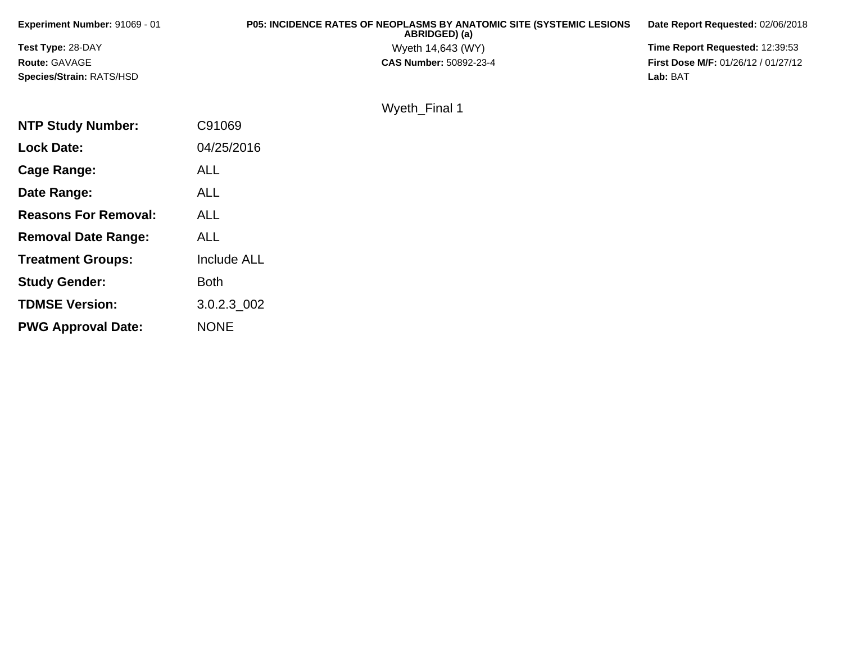| <b>Experiment Number: 91069 - 01</b> | <b>P05: INCIDENCE RATES OF NEOPLASMS BY ANATOMIC SITE (SYSTEMIC LESIONS)</b><br>ABRIDGED) (a) | Date Report Requested: 02/06/2018          |
|--------------------------------------|-----------------------------------------------------------------------------------------------|--------------------------------------------|
| <b>Test Type: 28-DAY</b>             | Wyeth 14,643 (WY)                                                                             | <b>Time Report Requested: 12:39:53</b>     |
| <b>Route: GAVAGE</b>                 | <b>CAS Number: 50892-23-4</b>                                                                 | <b>First Dose M/F: 01/26/12 / 01/27/12</b> |
| Species/Strain: RATS/HSD             |                                                                                               | Lab: BAT                                   |

Wyeth\_Final 1

| <b>NTP Study Number:</b>    | C91069      |
|-----------------------------|-------------|
| <b>Lock Date:</b>           | 04/25/2016  |
| Cage Range:                 | <b>ALL</b>  |
| Date Range:                 | AI I        |
| <b>Reasons For Removal:</b> | <b>ALL</b>  |
| <b>Removal Date Range:</b>  | ALL         |
| <b>Treatment Groups:</b>    | Include ALL |
| <b>Study Gender:</b>        | Both        |
| <b>TDMSE Version:</b>       | 3.0.2.3 002 |
| <b>PWG Approval Date:</b>   | NONE        |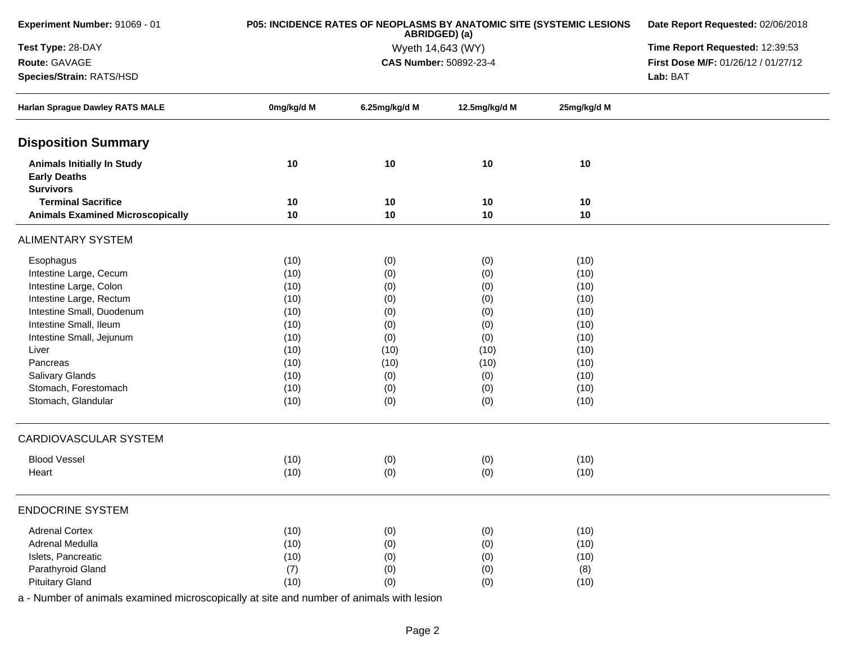| Experiment Number: 91069 - 01                                                |            | P05: INCIDENCE RATES OF NEOPLASMS BY ANATOMIC SITE (SYSTEMIC LESIONS<br>ABRIDGED) (a) | Date Report Requested: 02/06/2018 |             |                                     |
|------------------------------------------------------------------------------|------------|---------------------------------------------------------------------------------------|-----------------------------------|-------------|-------------------------------------|
| Test Type: 28-DAY                                                            |            | Wyeth 14,643 (WY)                                                                     | Time Report Requested: 12:39:53   |             |                                     |
| Route: GAVAGE                                                                |            |                                                                                       | CAS Number: 50892-23-4            |             | First Dose M/F: 01/26/12 / 01/27/12 |
| Species/Strain: RATS/HSD                                                     |            |                                                                                       | Lab: BAT                          |             |                                     |
| Harlan Sprague Dawley RATS MALE                                              | 0mg/kg/d M | 6.25mg/kg/d M                                                                         | 12.5mg/kg/d M                     | 25mg/kg/d M |                                     |
| <b>Disposition Summary</b>                                                   |            |                                                                                       |                                   |             |                                     |
| <b>Animals Initially In Study</b><br><b>Early Deaths</b><br><b>Survivors</b> | 10         | 10                                                                                    | 10                                | 10          |                                     |
| <b>Terminal Sacrifice</b>                                                    | 10         | 10                                                                                    | 10                                | 10          |                                     |
| <b>Animals Examined Microscopically</b>                                      | 10         | 10                                                                                    | 10                                | 10          |                                     |
| <b>ALIMENTARY SYSTEM</b>                                                     |            |                                                                                       |                                   |             |                                     |
| Esophagus                                                                    | (10)       | (0)                                                                                   | (0)                               | (10)        |                                     |
| Intestine Large, Cecum                                                       | (10)       | (0)                                                                                   | (0)                               | (10)        |                                     |
| Intestine Large, Colon                                                       | (10)       | (0)                                                                                   | (0)                               | (10)        |                                     |
| Intestine Large, Rectum                                                      | (10)       | (0)                                                                                   | (0)                               | (10)        |                                     |
| Intestine Small, Duodenum                                                    | (10)       | (0)                                                                                   | (0)                               | (10)        |                                     |
| Intestine Small, Ileum                                                       | (10)       | (0)                                                                                   | (0)                               | (10)        |                                     |
| Intestine Small, Jejunum                                                     | (10)       | (0)                                                                                   | (0)                               | (10)        |                                     |
| Liver                                                                        | (10)       | (10)                                                                                  | (10)                              | (10)        |                                     |
| Pancreas                                                                     | (10)       | (10)                                                                                  | (10)                              | (10)        |                                     |
| Salivary Glands                                                              | (10)       | (0)                                                                                   | (0)                               | (10)        |                                     |
| Stomach, Forestomach                                                         | (10)       | (0)                                                                                   | (0)                               | (10)        |                                     |
| Stomach, Glandular                                                           | (10)       | (0)                                                                                   | (0)                               | (10)        |                                     |
| <b>CARDIOVASCULAR SYSTEM</b>                                                 |            |                                                                                       |                                   |             |                                     |
| <b>Blood Vessel</b>                                                          | (10)       | (0)                                                                                   | (0)                               | (10)        |                                     |
| Heart                                                                        | (10)       | (0)                                                                                   | (0)                               | (10)        |                                     |
|                                                                              |            |                                                                                       |                                   |             |                                     |
| <b>ENDOCRINE SYSTEM</b>                                                      |            |                                                                                       |                                   |             |                                     |
| <b>Adrenal Cortex</b>                                                        | (10)       | (0)                                                                                   | (0)                               | (10)        |                                     |
| Adrenal Medulla                                                              | (10)       | (0)                                                                                   | (0)                               | (10)        |                                     |
| Islets, Pancreatic                                                           | (10)       | (0)                                                                                   | (0)                               | (10)        |                                     |
| Parathyroid Gland                                                            | (7)        | (0)                                                                                   | (0)                               | (8)         |                                     |
| <b>Pituitary Gland</b>                                                       | (10)       | (0)                                                                                   | (0)                               | (10)        |                                     |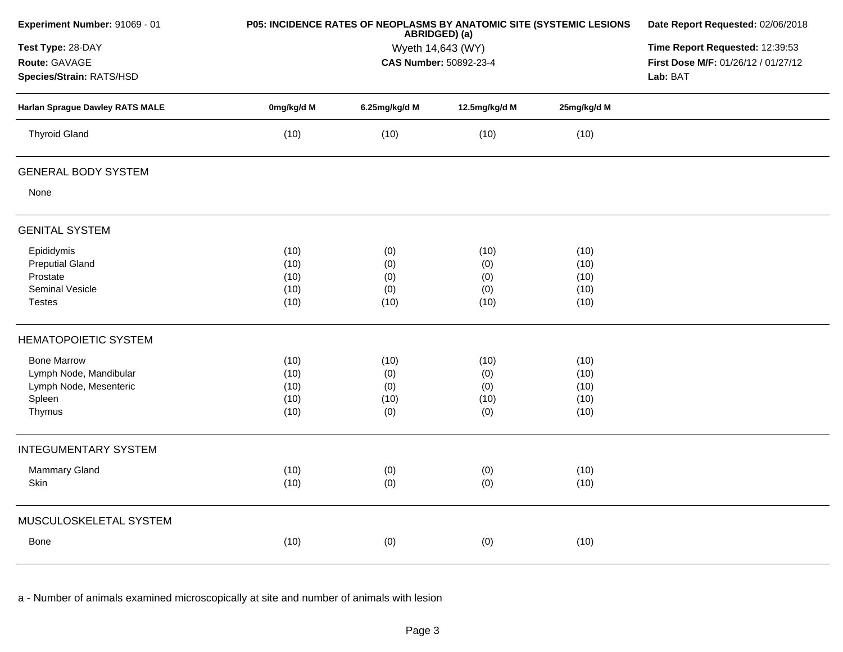| Experiment Number: 91069 - 01                                                                            |            | P05: INCIDENCE RATES OF NEOPLASMS BY ANATOMIC SITE (SYSTEMIC LESIONS<br>ABRIDGED) (a) |               |             |  |  |  |
|----------------------------------------------------------------------------------------------------------|------------|---------------------------------------------------------------------------------------|---------------|-------------|--|--|--|
| Test Type: 28-DAY<br>Route: GAVAGE<br>Species/Strain: RATS/HSD<br><b>Harlan Sprague Dawley RATS MALE</b> |            | Wyeth 14,643 (WY)<br><b>CAS Number: 50892-23-4</b>                                    |               |             |  |  |  |
|                                                                                                          | 0mg/kg/d M | 6.25mg/kg/d M                                                                         | 12.5mg/kg/d M | 25mg/kg/d M |  |  |  |
| <b>Thyroid Gland</b>                                                                                     | (10)       | (10)                                                                                  | (10)          | (10)        |  |  |  |
| <b>GENERAL BODY SYSTEM</b>                                                                               |            |                                                                                       |               |             |  |  |  |
| None                                                                                                     |            |                                                                                       |               |             |  |  |  |
| <b>GENITAL SYSTEM</b>                                                                                    |            |                                                                                       |               |             |  |  |  |
| Epididymis                                                                                               | (10)       | (0)                                                                                   | (10)          | (10)        |  |  |  |
| <b>Preputial Gland</b>                                                                                   | (10)       | (0)                                                                                   | (0)           | (10)        |  |  |  |
| Prostate                                                                                                 | (10)       | (0)                                                                                   | (0)           | (10)        |  |  |  |
| Seminal Vesicle                                                                                          | (10)       | (0)                                                                                   | (0)           | (10)        |  |  |  |
| <b>Testes</b>                                                                                            | (10)       | (10)                                                                                  | (10)          | (10)        |  |  |  |
| <b>HEMATOPOIETIC SYSTEM</b>                                                                              |            |                                                                                       |               |             |  |  |  |
| <b>Bone Marrow</b>                                                                                       | (10)       | (10)                                                                                  | (10)          | (10)        |  |  |  |
| Lymph Node, Mandibular                                                                                   | (10)       | (0)                                                                                   | (0)           | (10)        |  |  |  |
| Lymph Node, Mesenteric                                                                                   | (10)       | (0)                                                                                   | (0)           | (10)        |  |  |  |
| Spleen                                                                                                   | (10)       | (10)                                                                                  | (10)          | (10)        |  |  |  |
| Thymus                                                                                                   | (10)       | (0)                                                                                   | (0)           | (10)        |  |  |  |
| <b>INTEGUMENTARY SYSTEM</b>                                                                              |            |                                                                                       |               |             |  |  |  |
| Mammary Gland                                                                                            | (10)       | (0)                                                                                   | (0)           | (10)        |  |  |  |
| Skin                                                                                                     | (10)       | (0)                                                                                   | (0)           | (10)        |  |  |  |
| MUSCULOSKELETAL SYSTEM                                                                                   |            |                                                                                       |               |             |  |  |  |
| Bone                                                                                                     | (10)       | (0)                                                                                   | (0)           | (10)        |  |  |  |
|                                                                                                          |            |                                                                                       |               |             |  |  |  |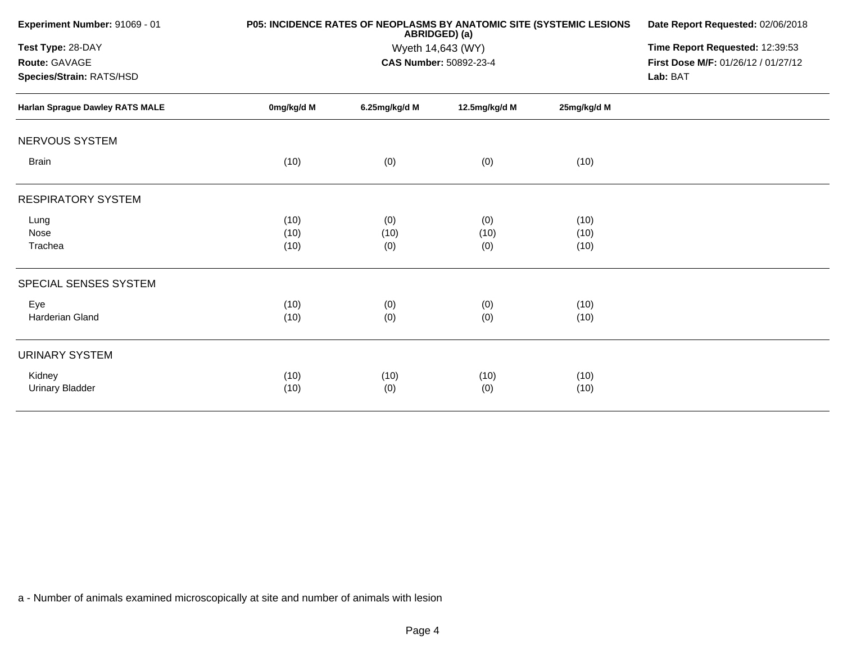| <b>Experiment Number: 91069 - 01</b>                           |            | <b>P05: INCIDENCE RATES OF NEOPLASMS BY ANATOMIC SITE (SYSTEMIC LESIONS</b><br>ABRIDGED) (a) | Date Report Requested: 02/06/2018 |             |  |  |
|----------------------------------------------------------------|------------|----------------------------------------------------------------------------------------------|-----------------------------------|-------------|--|--|
| Test Type: 28-DAY<br>Route: GAVAGE<br>Species/Strain: RATS/HSD |            | Wyeth 14,643 (WY)<br>CAS Number: 50892-23-4                                                  |                                   |             |  |  |
| <b>Harlan Sprague Dawley RATS MALE</b>                         | 0mg/kg/d M | 6.25mg/kg/d M                                                                                | 12.5mg/kg/d M                     | 25mg/kg/d M |  |  |
| NERVOUS SYSTEM                                                 |            |                                                                                              |                                   |             |  |  |
| <b>Brain</b>                                                   | (10)       | (0)                                                                                          | (0)                               | (10)        |  |  |
| <b>RESPIRATORY SYSTEM</b>                                      |            |                                                                                              |                                   |             |  |  |
| Lung                                                           | (10)       | (0)                                                                                          | (0)                               | (10)        |  |  |
| Nose                                                           | (10)       | (10)                                                                                         | (10)                              | (10)        |  |  |
| Trachea                                                        | (10)       | (0)                                                                                          | (0)                               | (10)        |  |  |
| SPECIAL SENSES SYSTEM                                          |            |                                                                                              |                                   |             |  |  |
| Eye                                                            | (10)       | (0)                                                                                          | (0)                               | (10)        |  |  |
| Harderian Gland                                                | (10)       | (0)                                                                                          | (0)                               | (10)        |  |  |
| <b>URINARY SYSTEM</b>                                          |            |                                                                                              |                                   |             |  |  |
| Kidney                                                         | (10)       | (10)                                                                                         | (10)                              | (10)        |  |  |
| <b>Urinary Bladder</b>                                         | (10)       | (0)                                                                                          | (0)                               | (10)        |  |  |
|                                                                |            |                                                                                              |                                   |             |  |  |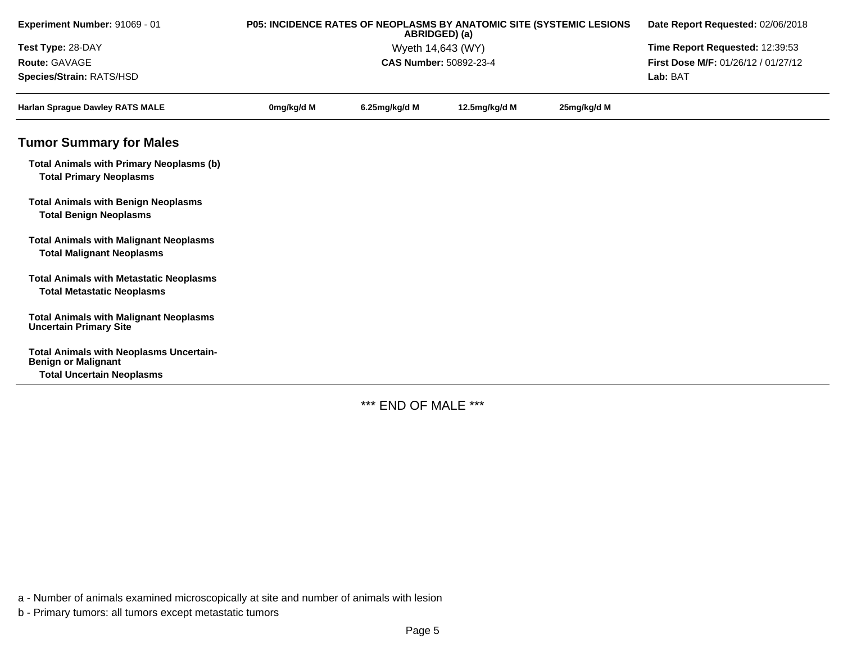| Experiment Number: 91069 - 01                                                                                    |            | P05: INCIDENCE RATES OF NEOPLASMS BY ANATOMIC SITE (SYSTEMIC LESIONS<br>ABRIDGED) (a) | Date Report Requested: 02/06/2018<br>Time Report Requested: 12:39:53 |             |                                     |
|------------------------------------------------------------------------------------------------------------------|------------|---------------------------------------------------------------------------------------|----------------------------------------------------------------------|-------------|-------------------------------------|
| Test Type: 28-DAY                                                                                                |            | Wyeth 14,643 (WY)                                                                     |                                                                      |             |                                     |
| Route: GAVAGE                                                                                                    |            |                                                                                       | <b>CAS Number: 50892-23-4</b>                                        |             | First Dose M/F: 01/26/12 / 01/27/12 |
| Species/Strain: RATS/HSD                                                                                         |            |                                                                                       |                                                                      |             | Lab: BAT                            |
| <b>Harlan Sprague Dawley RATS MALE</b>                                                                           | 0mg/kg/d M | 6.25mg/kg/d M                                                                         | 12.5mg/kg/d M                                                        | 25mg/kg/d M |                                     |
| <b>Tumor Summary for Males</b>                                                                                   |            |                                                                                       |                                                                      |             |                                     |
| <b>Total Animals with Primary Neoplasms (b)</b><br><b>Total Primary Neoplasms</b>                                |            |                                                                                       |                                                                      |             |                                     |
| <b>Total Animals with Benign Neoplasms</b><br><b>Total Benign Neoplasms</b>                                      |            |                                                                                       |                                                                      |             |                                     |
| <b>Total Animals with Malignant Neoplasms</b><br><b>Total Malignant Neoplasms</b>                                |            |                                                                                       |                                                                      |             |                                     |
| <b>Total Animals with Metastatic Neoplasms</b><br><b>Total Metastatic Neoplasms</b>                              |            |                                                                                       |                                                                      |             |                                     |
| <b>Total Animals with Malignant Neoplasms</b><br><b>Uncertain Primary Site</b>                                   |            |                                                                                       |                                                                      |             |                                     |
| <b>Total Animals with Neoplasms Uncertain-</b><br><b>Benign or Malignant</b><br><b>Total Uncertain Neoplasms</b> |            |                                                                                       |                                                                      |             |                                     |

\*\*\* END OF MALE \*\*\*

a - Number of animals examined microscopically at site and number of animals with lesion

b - Primary tumors: all tumors except metastatic tumors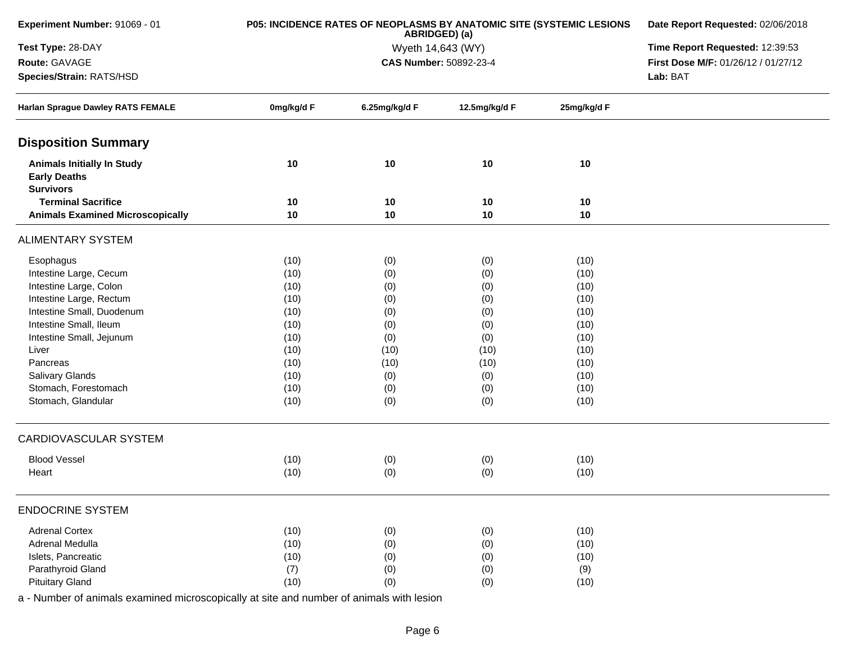| Experiment Number: 91069 - 01                                                |            | P05: INCIDENCE RATES OF NEOPLASMS BY ANATOMIC SITE (SYSTEMIC LESIONS<br>ABRIDGED) (a) | Date Report Requested: 02/06/2018 |             |                                     |
|------------------------------------------------------------------------------|------------|---------------------------------------------------------------------------------------|-----------------------------------|-------------|-------------------------------------|
| Test Type: 28-DAY                                                            |            | Wyeth 14,643 (WY)                                                                     | Time Report Requested: 12:39:53   |             |                                     |
| Route: GAVAGE                                                                |            |                                                                                       | CAS Number: 50892-23-4            |             | First Dose M/F: 01/26/12 / 01/27/12 |
| Species/Strain: RATS/HSD                                                     |            |                                                                                       | Lab: BAT                          |             |                                     |
| Harlan Sprague Dawley RATS FEMALE                                            | 0mg/kg/d F | 6.25mg/kg/d F                                                                         | 12.5mg/kg/d F                     | 25mg/kg/d F |                                     |
| <b>Disposition Summary</b>                                                   |            |                                                                                       |                                   |             |                                     |
| <b>Animals Initially In Study</b><br><b>Early Deaths</b><br><b>Survivors</b> | 10         | 10                                                                                    | 10                                | 10          |                                     |
| <b>Terminal Sacrifice</b>                                                    | 10         | 10                                                                                    | 10                                | 10          |                                     |
| <b>Animals Examined Microscopically</b>                                      | 10         | 10                                                                                    | 10                                | 10          |                                     |
| <b>ALIMENTARY SYSTEM</b>                                                     |            |                                                                                       |                                   |             |                                     |
| Esophagus                                                                    | (10)       | (0)                                                                                   | (0)                               | (10)        |                                     |
| Intestine Large, Cecum                                                       | (10)       | (0)                                                                                   | (0)                               | (10)        |                                     |
| Intestine Large, Colon                                                       | (10)       | (0)                                                                                   | (0)                               | (10)        |                                     |
| Intestine Large, Rectum                                                      | (10)       | (0)                                                                                   | (0)                               | (10)        |                                     |
| Intestine Small, Duodenum                                                    | (10)       | (0)                                                                                   | (0)                               | (10)        |                                     |
| Intestine Small, Ileum                                                       | (10)       | (0)                                                                                   | (0)                               | (10)        |                                     |
| Intestine Small, Jejunum                                                     | (10)       | (0)                                                                                   | (0)                               | (10)        |                                     |
| Liver                                                                        | (10)       | (10)                                                                                  | (10)                              | (10)        |                                     |
| Pancreas                                                                     | (10)       | (10)                                                                                  | (10)                              | (10)        |                                     |
| Salivary Glands                                                              | (10)       | (0)                                                                                   | (0)                               | (10)        |                                     |
| Stomach, Forestomach                                                         | (10)       | (0)                                                                                   | (0)                               | (10)        |                                     |
| Stomach, Glandular                                                           | (10)       | (0)                                                                                   | (0)                               | (10)        |                                     |
| <b>CARDIOVASCULAR SYSTEM</b>                                                 |            |                                                                                       |                                   |             |                                     |
| <b>Blood Vessel</b>                                                          | (10)       | (0)                                                                                   | (0)                               | (10)        |                                     |
| Heart                                                                        | (10)       | (0)                                                                                   | (0)                               | (10)        |                                     |
| <b>ENDOCRINE SYSTEM</b>                                                      |            |                                                                                       |                                   |             |                                     |
| <b>Adrenal Cortex</b>                                                        | (10)       | (0)                                                                                   | (0)                               | (10)        |                                     |
| Adrenal Medulla                                                              | (10)       | (0)                                                                                   | (0)                               | (10)        |                                     |
| Islets, Pancreatic                                                           | (10)       | (0)                                                                                   | (0)                               | (10)        |                                     |
| Parathyroid Gland                                                            | (7)        | (0)                                                                                   | (0)                               | (9)         |                                     |
| <b>Pituitary Gland</b>                                                       | (10)       | (0)                                                                                   | (0)                               | (10)        |                                     |
|                                                                              |            |                                                                                       |                                   |             |                                     |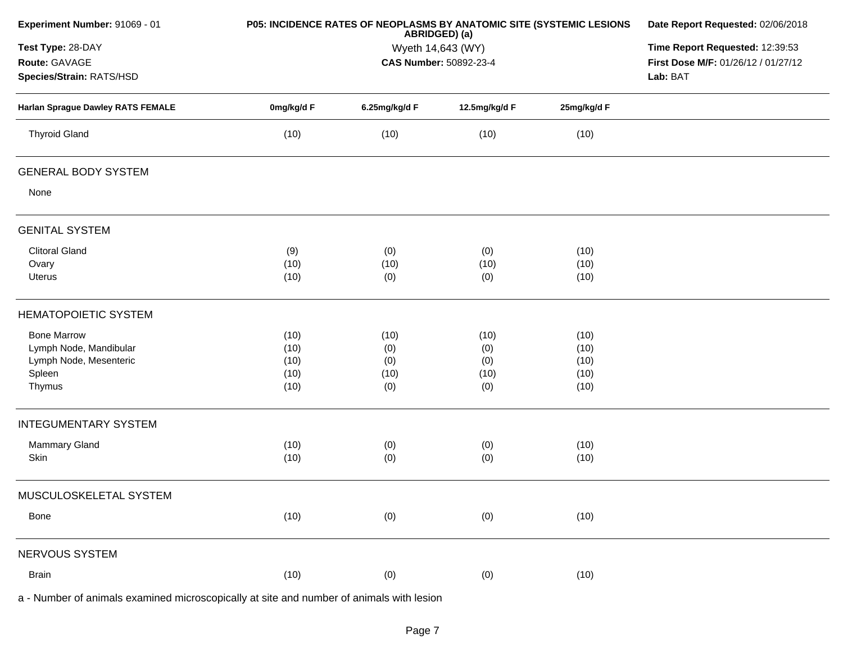| Experiment Number: 91069 - 01                                                            |            | P05: INCIDENCE RATES OF NEOPLASMS BY ANATOMIC SITE (SYSTEMIC LESIONS<br>ABRIDGED) (a) |                                 |             |                                     |  |  |
|------------------------------------------------------------------------------------------|------------|---------------------------------------------------------------------------------------|---------------------------------|-------------|-------------------------------------|--|--|
| Test Type: 28-DAY                                                                        |            | Wyeth 14,643 (WY)                                                                     | Time Report Requested: 12:39:53 |             |                                     |  |  |
| Route: GAVAGE                                                                            |            |                                                                                       | CAS Number: 50892-23-4          |             | First Dose M/F: 01/26/12 / 01/27/12 |  |  |
| Species/Strain: RATS/HSD                                                                 |            |                                                                                       |                                 |             | Lab: BAT                            |  |  |
| Harlan Sprague Dawley RATS FEMALE                                                        | 0mg/kg/d F | 6.25mg/kg/d F                                                                         | 12.5mg/kg/d F                   | 25mg/kg/d F |                                     |  |  |
| <b>Thyroid Gland</b>                                                                     | (10)       | (10)                                                                                  | (10)                            | (10)        |                                     |  |  |
| <b>GENERAL BODY SYSTEM</b>                                                               |            |                                                                                       |                                 |             |                                     |  |  |
| None                                                                                     |            |                                                                                       |                                 |             |                                     |  |  |
| <b>GENITAL SYSTEM</b>                                                                    |            |                                                                                       |                                 |             |                                     |  |  |
| <b>Clitoral Gland</b>                                                                    | (9)        | (0)                                                                                   | (0)                             | (10)        |                                     |  |  |
| Ovary                                                                                    | (10)       | (10)                                                                                  | (10)                            | (10)        |                                     |  |  |
| Uterus                                                                                   | (10)       | (0)                                                                                   | (0)                             | (10)        |                                     |  |  |
| <b>HEMATOPOIETIC SYSTEM</b>                                                              |            |                                                                                       |                                 |             |                                     |  |  |
| <b>Bone Marrow</b>                                                                       | (10)       | (10)                                                                                  | (10)                            | (10)        |                                     |  |  |
| Lymph Node, Mandibular                                                                   | (10)       | (0)                                                                                   | (0)                             | (10)        |                                     |  |  |
| Lymph Node, Mesenteric                                                                   | (10)       | (0)                                                                                   | (0)                             | (10)        |                                     |  |  |
| Spleen                                                                                   | (10)       | (10)                                                                                  | (10)                            | (10)        |                                     |  |  |
| Thymus                                                                                   | (10)       | (0)                                                                                   | (0)                             | (10)        |                                     |  |  |
| <b>INTEGUMENTARY SYSTEM</b>                                                              |            |                                                                                       |                                 |             |                                     |  |  |
| <b>Mammary Gland</b>                                                                     | (10)       | (0)                                                                                   | (0)                             | (10)        |                                     |  |  |
| Skin                                                                                     | (10)       | (0)                                                                                   | (0)                             | (10)        |                                     |  |  |
| MUSCULOSKELETAL SYSTEM                                                                   |            |                                                                                       |                                 |             |                                     |  |  |
| Bone                                                                                     | (10)       | (0)                                                                                   | (0)                             | (10)        |                                     |  |  |
| NERVOUS SYSTEM                                                                           |            |                                                                                       |                                 |             |                                     |  |  |
| <b>Brain</b>                                                                             | (10)       | (0)                                                                                   | (0)                             | (10)        |                                     |  |  |
| a - Number of animals examined microscopically at site and number of animals with lesion |            |                                                                                       |                                 |             |                                     |  |  |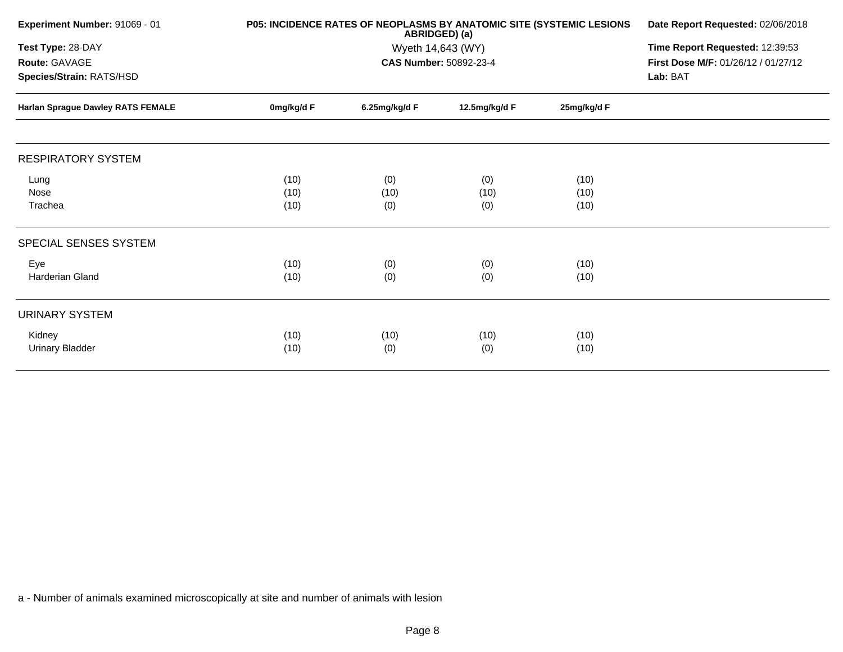| Experiment Number: 91069 - 01                                  |                      | <b>P05: INCIDENCE RATES OF NEOPLASMS BY ANATOMIC SITE (SYSTEMIC LESIONS</b><br>ABRIDGED) (a) | Date Report Requested: 02/06/2018 |                      |  |
|----------------------------------------------------------------|----------------------|----------------------------------------------------------------------------------------------|-----------------------------------|----------------------|--|
| Test Type: 28-DAY<br>Route: GAVAGE<br>Species/Strain: RATS/HSD |                      | Time Report Requested: 12:39:53<br>First Dose M/F: 01/26/12 / 01/27/12<br>Lab: BAT           |                                   |                      |  |
| Harlan Sprague Dawley RATS FEMALE                              | 0mg/kg/d F           | 6.25mg/kg/d F                                                                                | 12.5mg/kg/d F                     | 25mg/kg/d F          |  |
| <b>RESPIRATORY SYSTEM</b>                                      |                      |                                                                                              |                                   |                      |  |
| Lung<br>Nose<br>Trachea                                        | (10)<br>(10)<br>(10) | (0)<br>(10)<br>(0)                                                                           | (0)<br>(10)<br>(0)                | (10)<br>(10)<br>(10) |  |
| SPECIAL SENSES SYSTEM                                          |                      |                                                                                              |                                   |                      |  |
| Eye<br><b>Harderian Gland</b>                                  | (10)<br>(10)         | (0)<br>(0)                                                                                   | (0)<br>(0)                        | (10)<br>(10)         |  |
| <b>URINARY SYSTEM</b>                                          |                      |                                                                                              |                                   |                      |  |
| Kidney<br>Urinary Bladder                                      | (10)<br>(10)         | (10)<br>(0)                                                                                  | (10)<br>(0)                       | (10)<br>(10)         |  |